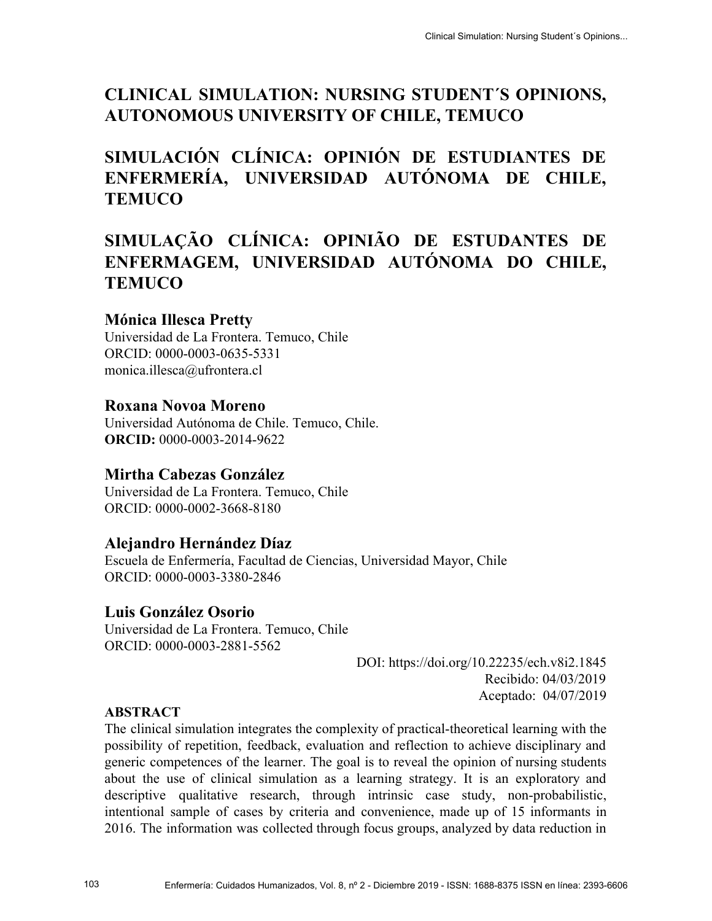# **CLINICAL SIMULATION: NURSING STUDENT´S OPINIONS, AUTONOMOUS UNIVERSITY OF CHILE, TEMUCO**

# **SIMULACIÓN CLÍNICA: OPINIÓN DE ESTUDIANTES DE ENFERMERÍA, UNIVERSIDAD AUTÓNOMA DE CHILE, TEMUCO**

# **SIMULAÇÃO CLÍNICA: OPINIÃO DE ESTUDANTES DE ENFERMAGEM, UNIVERSIDAD AUTÓNOMA DO CHILE, TEMUCO**

## **Mónica Illesca Pretty**

Universidad de La Frontera. Temuco, Chile ORCID: 0000-0003-0635-5331 [monica.illesca@ufrontera.cl](mailto:monica.illesca@ufrontera.cl)

## **Roxana Novoa Moreno**

Universidad Autónoma de Chile. Temuco, Chile. **ORCID:** 0000-0003-2014-9622

## **Mirtha Cabezas González**

Universidad de La Frontera. Temuco, Chile ORCID: 0000-0002-3668-8180

### **Alejandro Hernández Díaz**

Escuela de Enfermería, Facultad de Ciencias, Universidad Mayor, Chile ORCID: [0000-0003-3380-2846](https://orcid.org/0000-0003-3380-2846)

## **Luis González Osorio**

Universidad de La Frontera. Temuco, Chile ORCID: 0000-0003-2881-5562

DOI: https://doi.org/10.22235/ech.v8i2.1845 Recibido: 04/03/2019 Aceptado: 04/07/2019

### **ABSTRACT**

The clinical simulation integrates the complexity of practical-theoretical learning with the possibility of repetition, feedback, evaluation and reflection to achieve disciplinary and generic competences of the learner. The goal is to reveal the opinion of nursing students about the use of clinical simulation as a learning strategy. It is an exploratory and descriptive qualitative research, through intrinsic case study, non-probabilistic, intentional sample of cases by criteria and convenience, made up of 15 informants in 2016. The information was collected through focus groups, analyzed by data reduction in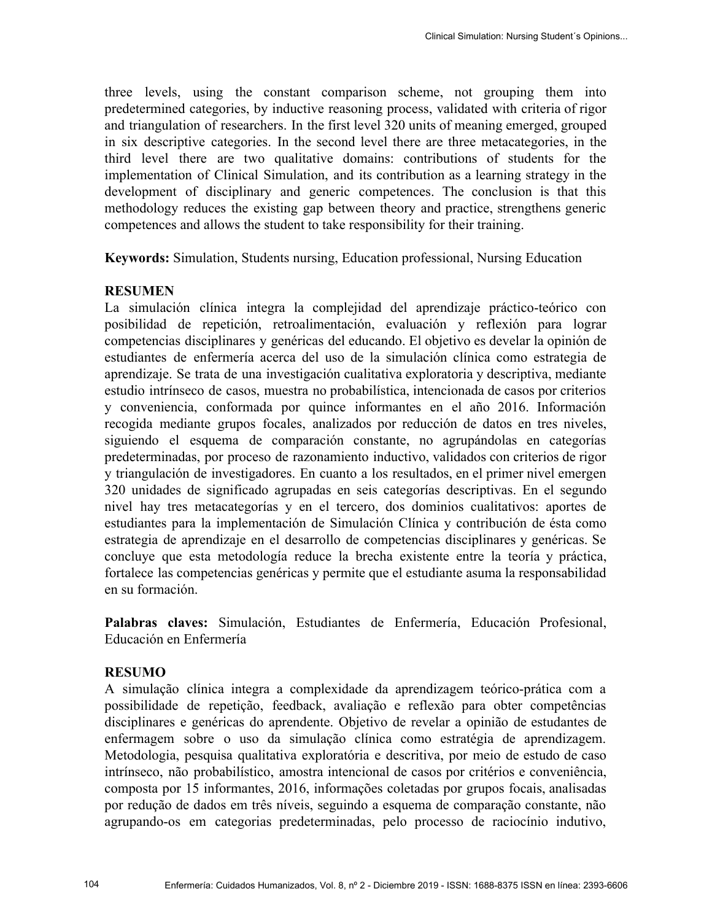three levels, using the constant comparison scheme, not grouping them into predetermined categories, by inductive reasoning process, validated with criteria of rigor and triangulation of researchers. In the first level 320 units of meaning emerged, grouped in six descriptive categories. In the second level there are three metacategories, in the third level there are two qualitative domains: contributions of students for the implementation of Clinical Simulation, and its contribution as a learning strategy in the development of disciplinary and generic competences. The conclusion is that this methodology reduces the existing gap between theory and practice, strengthens generic competences and allows the student to take responsibility for their training.

**Keywords:** Simulation, Students nursing, Education professional, Nursing Education

#### **RESUMEN**

La simulación clínica integra la complejidad del aprendizaje práctico-teórico con posibilidad de repetición, retroalimentación, evaluación y reflexión para lograr competencias disciplinares y genéricas del educando. El objetivo es develar la opinión de estudiantes de enfermería acerca del uso de la simulación clínica como estrategia de aprendizaje. Se trata de una investigación cualitativa exploratoria y descriptiva, mediante estudio intrínseco de casos, muestra no probabilística, intencionada de casos por criterios y conveniencia, conformada por quince informantes en el año 2016. Información recogida mediante grupos focales, analizados por reducción de datos en tres niveles, siguiendo el esquema de comparación constante, no agrupándolas en categorías predeterminadas, por proceso de razonamiento inductivo, validados con criterios de rigor y triangulación de investigadores. En cuanto a los resultados, en el primer nivel emergen 320 unidades de significado agrupadas en seis categorías descriptivas. En el segundo nivel hay tres metacategorías y en el tercero, dos dominios cualitativos: aportes de estudiantes para la implementación de Simulación Clínica y contribución de ésta como estrategia de aprendizaje en el desarrollo de competencias disciplinares y genéricas. Se concluye que esta metodología reduce la brecha existente entre la teoría y práctica, fortalece las competencias genéricas y permite que el estudiante asuma la responsabilidad en su formación.

**Palabras claves:** Simulación, Estudiantes de Enfermería, Educación Profesional, Educación en Enfermería

#### **RESUMO**

A simulação clínica integra a complexidade da aprendizagem teórico-prática com a possibilidade de repetição, feedback, avaliação e reflexão para obter competências disciplinares e genéricas do aprendente. Objetivo de revelar a opinião de estudantes de enfermagem sobre o uso da simulação clínica como estratégia de aprendizagem. Metodologia, pesquisa qualitativa exploratória e descritiva, por meio de estudo de caso intrínseco, não probabilístico, amostra intencional de casos por critérios e conveniência, composta por 15 informantes, 2016, informações coletadas por grupos focais, analisadas por redução de dados em três níveis, seguindo a esquema de comparação constante, não agrupando-os em categorias predeterminadas, pelo processo de raciocínio indutivo,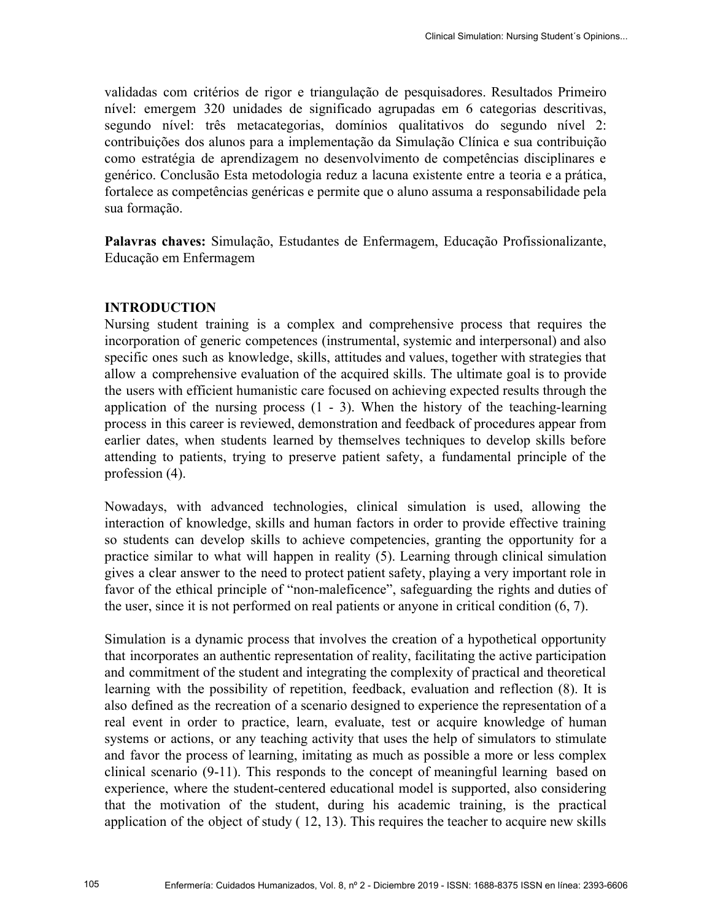validadas com critérios de rigor e triangulação de pesquisadores. Resultados Primeiro nível: emergem 320 unidades de significado agrupadas em 6 categorias descritivas, segundo nível: três metacategorias, domínios qualitativos do segundo nível 2: contribuições dos alunos para a implementação da Simulação Clínica e sua contribuição como estratégia de aprendizagem no desenvolvimento de competências disciplinares e genérico. Conclusão Esta metodologia reduz a lacuna existente entre a teoria e a prática, fortalece as competências genéricas e permite que o aluno assuma a responsabilidade pela sua formação.

**Palavras chaves:** Simulação, Estudantes de Enfermagem, Educação Profissionalizante, Educação em Enfermagem

#### **INTRODUCTION**

Nursing student training is a complex and comprehensive process that requires the incorporation of generic competences (instrumental, systemic and interpersonal) and also specific ones such as knowledge, skills, attitudes and values, together with strategies that allow a comprehensive evaluation of the acquired skills. The ultimate goal is to provide the users with efficient humanistic care focused on achieving expected results through the application of the nursing process  $(1 - 3)$ . When the history of the teaching-learning process in this career is reviewed, demonstration and feedback of procedures appear from earlier dates, when students learned by themselves techniques to develop skills before attending to patients, trying to preserve patient safety, a fundamental principle of the profession  $(4)$ .

Nowadays, with advanced technologies, clinical simulation is used, allowing the interaction of knowledge, skills and human factors in order to provide effective training so students can develop skills to achieve competencies, granting the opportunity for a practice similar to what will happen in reality (5). Learning through clinical simulation gives a clear answer to the need to protect patient safety, playing a very important role in favor of the ethical principle of "non-maleficence", safeguarding the rights and duties of the user, since it is not performed on real patients or anyone in critical condition (6, 7).

Simulation is a dynamic process that involves the creation of a hypothetical opportunity that incorporates an authentic representation of reality, facilitating the active participation and commitment of the student and integrating the complexity of practical and theoretical learning with the possibility of repetition, feedback, evaluation and reflection (8). It is also defined as the recreation of a scenario designed to experience the representation of a real event in order to practice, learn, evaluate, test or acquire knowledge of human systems or actions, or any teaching activity that uses the help of simulators to stimulate and favor the process of learning, imitating as much as possible a more or less complex clinical scenario (9-11). This responds to the concept of meaningful learning based on experience, where the student-centered educational model is supported, also considering that the motivation of the student, during his academic training, is the practical application of the object of study ( 12, 13). This requires the teacher to acquire new skills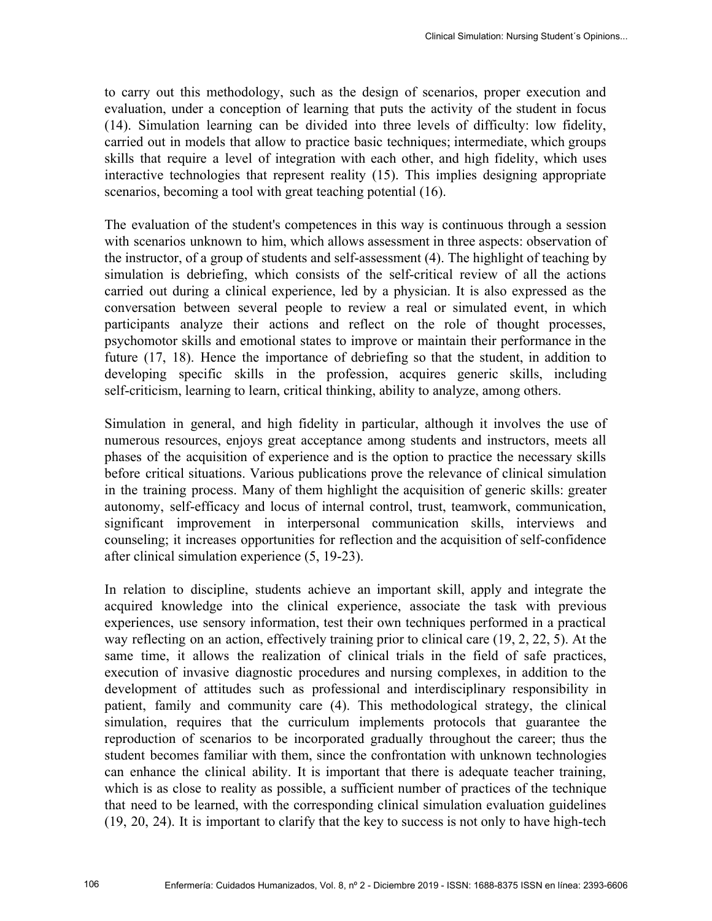to carry out this methodology, such as the design of scenarios, proper execution and evaluation, under a conception of learning that puts the activity of the student in focus (14). Simulation learning can be divided into three levels of difficulty: low fidelity, carried out in models that allow to practice basic techniques; intermediate, which groups skills that require a level of integration with each other, and high fidelity, which uses interactive technologies that represent reality (15). This implies designing appropriate scenarios, becoming a tool with great teaching potential  $(16)$ .

The evaluation of the student's competences in this way is continuous through a session with scenarios unknown to him, which allows assessment in three aspects: observation of the instructor, of a group of students and self-assessment (4). The highlight of teaching by simulation is debriefing, which consists of the self-critical review of all the actions carried out during a clinical experience, led by a physician. It is also expressed as the conversation between several people to review a real or simulated event, in which participants analyze their actions and reflect on the role of thought processes, psychomotor skills and emotional states to improve or maintain their performance in the future (17, 18). Hence the importance of debriefing so that the student, in addition to developing specific skills in the profession, acquires generic skills, including self-criticism, learning to learn, critical thinking, ability to analyze, among others.

Simulation in general, and high fidelity in particular, although it involves the use of numerous resources, enjoys great acceptance among students and instructors, meets all phases of the acquisition of experience and is the option to practice the necessary skills before critical situations. Various publications prove the relevance of clinical simulation in the training process. Many of them highlight the acquisition of generic skills: greater autonomy, self-efficacy and locus of internal control, trust, teamwork, communication, significant improvement in interpersonal communication skills, interviews and counseling; it increases opportunities for reflection and the acquisition of self-confidence after clinical simulation experience (5, 19-23).

In relation to discipline, students achieve an important skill, apply and integrate the acquired knowledge into the clinical experience, associate the task with previous experiences, use sensory information, test their own techniques performed in a practical way reflecting on an action, effectively training prior to clinical care (19, 2, 22, 5). At the same time, it allows the realization of clinical trials in the field of safe practices, execution of invasive diagnostic procedures and nursing complexes, in addition to the development of attitudes such as professional and interdisciplinary responsibility in patient, family and community care (4). This methodological strategy, the clinical simulation, requires that the curriculum implements protocols that guarantee the reproduction of scenarios to be incorporated gradually throughout the career; thus the student becomes familiar with them, since the confrontation with unknown technologies can enhance the clinical ability. It is important that there is adequate teacher training, which is as close to reality as possible, a sufficient number of practices of the technique that need to be learned, with the corresponding clinical simulation evaluation guidelines (19, 20, 24). It is important to clarify that the key to success is not only to have high-tech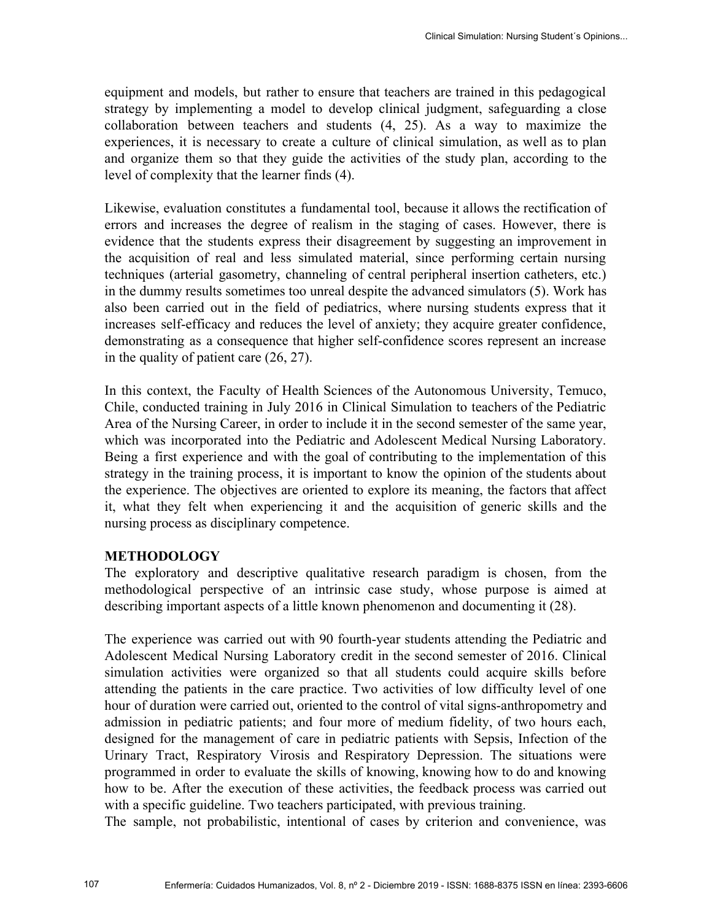equipment and models, but rather to ensure that teachers are trained in this pedagogical strategy by implementing a model to develop clinical judgment, safeguarding a close collaboration between teachers and students (4, 25). As a way to maximize the experiences, it is necessary to create a culture of clinical simulation, as well as to plan and organize them so that they guide the activities of the study plan, according to the level of complexity that the learner finds (4).

Likewise, evaluation constitutes a fundamental tool, because it allows the rectification of errors and increases the degree of realism in the staging of cases. However, there is evidence that the students express their disagreement by suggesting an improvement in the acquisition of real and less simulated material, since performing certain nursing techniques (arterial gasometry, channeling of central peripheral insertion catheters, etc.) in the dummy results sometimes too unreal despite the advanced simulators (5). Work has also been carried out in the field of pediatrics, where nursing students express that it increases self-efficacy and reduces the level of anxiety; they acquire greater confidence, demonstrating as a consequence that higher self-confidence scores represent an increase in the quality of patient care (26, 27).

In this context, the Faculty of Health Sciences of the Autonomous University, Temuco, Chile, conducted training in July 2016 in Clinical Simulation to teachers of the Pediatric Area of the Nursing Career, in order to include it in the second semester of the same year, which was incorporated into the Pediatric and Adolescent Medical Nursing Laboratory. Being a first experience and with the goal of contributing to the implementation of this strategy in the training process, it is important to know the opinion of the students about the experience. The objectives are oriented to explore its meaning, the factors that affect it, what they felt when experiencing it and the acquisition of generic skills and the nursing process as disciplinary competence.

#### **METHODOLOGY**

The exploratory and descriptive qualitative research paradigm is chosen, from the methodological perspective of an intrinsic case study, whose purpose is aimed at describing important aspects of a little known phenomenon and documenting it (28).

The experience was carried out with 90 fourth-year students attending the Pediatric and Adolescent Medical Nursing Laboratory credit in the second semester of 2016. Clinical simulation activities were organized so that all students could acquire skills before attending the patients in the care practice. Two activities of low difficulty level of one hour of duration were carried out, oriented to the control of vital signs-anthropometry and admission in pediatric patients; and four more of medium fidelity, of two hours each, designed for the management of care in pediatric patients with Sepsis, Infection of the Urinary Tract, Respiratory Virosis and Respiratory Depression. The situations were programmed in order to evaluate the skills of knowing, knowing how to do and knowing how to be. After the execution of these activities, the feedback process was carried out with a specific guideline. Two teachers participated, with previous training.

The sample, not probabilistic, intentional of cases by criterion and convenience, was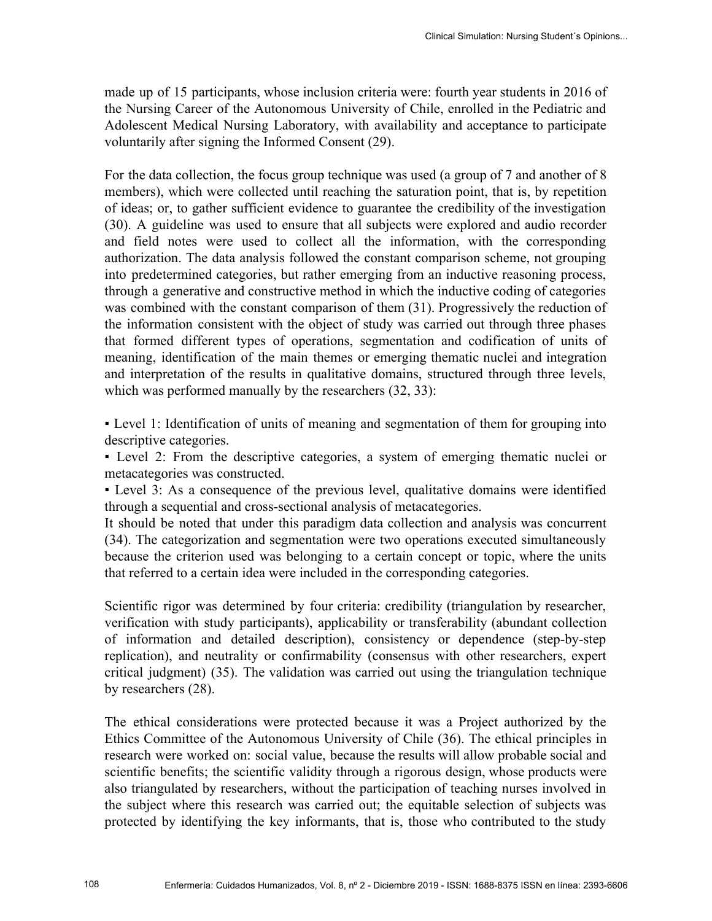made up of 15 participants, whose inclusion criteria were: fourth year students in 2016 of the Nursing Career of the Autonomous University of Chile, enrolled in the Pediatric and Adolescent Medical Nursing Laboratory, with availability and acceptance to participate voluntarily after signing the Informed Consent (29).

For the data collection, the focus group technique was used (a group of 7 and another of 8 members), which were collected until reaching the saturation point, that is, by repetition of ideas; or, to gather sufficient evidence to guarantee the credibility of the investigation (30). A guideline was used to ensure that all subjects were explored and audio recorder and field notes were used to collect all the information, with the corresponding authorization. The data analysis followed the constant comparison scheme, not grouping into predetermined categories, but rather emerging from an inductive reasoning process, through a generative and constructive method in which the inductive coding of categories was combined with the constant comparison of them (31). Progressively the reduction of the information consistent with the object of study was carried out through three phases that formed different types of operations, segmentation and codification of units of meaning, identification of the main themes or emerging thematic nuclei and integration and interpretation of the results in qualitative domains, structured through three levels, which was performed manually by the researchers  $(32, 33)$ :

▪ Level 1: Identification of units of meaning and segmentation of them for grouping into descriptive categories.

▪ Level 2: From the descriptive categories, a system of emerging thematic nuclei or metacategories was constructed.

▪ Level 3: As a consequence of the previous level, qualitative domains were identified through a sequential and cross-sectional analysis of metacategories.

It should be noted that under this paradigm data collection and analysis was concurrent (34). The categorization and segmentation were two operations executed simultaneously because the criterion used was belonging to a certain concept or topic, where the units that referred to a certain idea were included in the corresponding categories.

Scientific rigor was determined by four criteria: credibility (triangulation by researcher, verification with study participants), applicability or transferability (abundant collection of information and detailed description), consistency or dependence (step-by-step replication), and neutrality or confirmability (consensus with other researchers, expert critical judgment) (35). The validation was carried out using the triangulation technique by researchers (28).

The ethical considerations were protected because it was a Project authorized by the Ethics Committee of the Autonomous University of Chile (36). The ethical principles in research were worked on: social value, because the results will allow probable social and scientific benefits; the scientific validity through a rigorous design, whose products were also triangulated by researchers, without the participation of teaching nurses involved in the subject where this research was carried out; the equitable selection of subjects was protected by identifying the key informants, that is, those who contributed to the study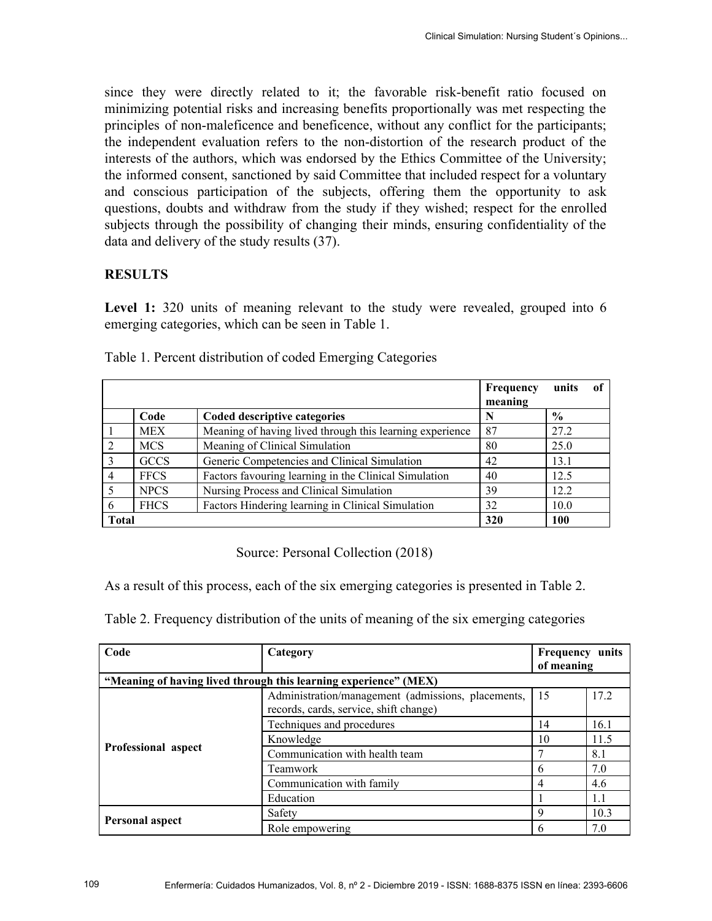since they were directly related to it; the favorable risk-benefit ratio focused on minimizing potential risks and increasing benefits proportionally was met respecting the principles of non-maleficence and beneficence, without any conflict for the participants; the independent evaluation refers to the non-distortion of the research product of the interests of the authors, which was endorsed by the Ethics Committee of the University; the informed consent, sanctioned by said Committee that included respect for a voluntary and conscious participation of the subjects, offering them the opportunity to ask questions, doubts and withdraw from the study if they wished; respect for the enrolled subjects through the possibility of changing their minds, ensuring confidentiality of the data and delivery of the study results (37).

#### **RESULTS**

**Level 1:** 320 units of meaning relevant to the study were revealed, grouped into 6 emerging categories, which can be seen in Table 1.

|              |             |                                                          | <b>Frequency</b><br>meaning | units         | <sub>of</sub> |
|--------------|-------------|----------------------------------------------------------|-----------------------------|---------------|---------------|
|              | Code        | Coded descriptive categories                             |                             | $\frac{0}{0}$ |               |
|              | <b>MEX</b>  | Meaning of having lived through this learning experience | 87                          | 27.2          |               |
| 2            | <b>MCS</b>  | Meaning of Clinical Simulation                           | 80                          | 25.0          |               |
|              | <b>GCCS</b> | Generic Competencies and Clinical Simulation             | 42                          | 13.1          |               |
| 4            | <b>FFCS</b> | Factors favouring learning in the Clinical Simulation    | 40                          | 12.5          |               |
|              | <b>NPCS</b> | Nursing Process and Clinical Simulation                  | 39                          | 12.2          |               |
| 6            | <b>FHCS</b> | Factors Hindering learning in Clinical Simulation        | 32                          | 10.0          |               |
| <b>Total</b> |             |                                                          | 320                         | 100           |               |

Table 1. Percent distribution of coded Emerging Categories

### Source: Personal Collection (2018)

As a result of this process, each of the six emerging categories is presented in Table 2.

Table 2. Frequency distribution of the units of meaning of the six emerging categories

| Code                                                             | Category                                                                                     | Frequency units<br>of meaning |      |  |  |  |
|------------------------------------------------------------------|----------------------------------------------------------------------------------------------|-------------------------------|------|--|--|--|
| "Meaning of having lived through this learning experience" (MEX) |                                                                                              |                               |      |  |  |  |
|                                                                  | Administration/management (admissions, placements,<br>records, cards, service, shift change) | 15                            | 17.2 |  |  |  |
|                                                                  | Techniques and procedures                                                                    | 14                            | 16.1 |  |  |  |
|                                                                  | Knowledge                                                                                    | 10                            | 11.5 |  |  |  |
| Professional aspect                                              | Communication with health team                                                               |                               | 8.1  |  |  |  |
|                                                                  | <b>Teamwork</b>                                                                              | 6                             | 7.0  |  |  |  |
|                                                                  | Communication with family                                                                    | 4                             | 4.6  |  |  |  |
|                                                                  | Education                                                                                    |                               | 1.1  |  |  |  |
|                                                                  | Safety                                                                                       | 9                             | 10.3 |  |  |  |
| <b>Personal aspect</b>                                           | Role empowering                                                                              | 6                             | 7.0  |  |  |  |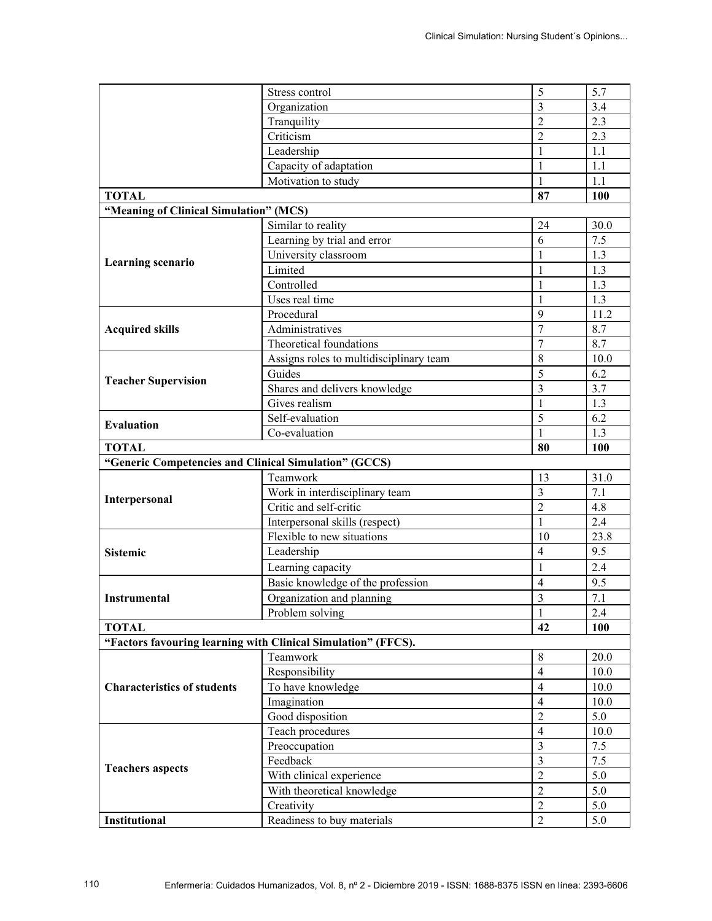|                                                       | Stress control                                                | 5                                | 5.7               |
|-------------------------------------------------------|---------------------------------------------------------------|----------------------------------|-------------------|
|                                                       | Organization                                                  | $\overline{3}$                   | 3.4               |
|                                                       | Tranquility                                                   | $\overline{2}$                   | 2.3               |
|                                                       | Criticism                                                     | $\overline{2}$                   | 2.3               |
|                                                       | Leadership                                                    | 1                                | 1.1               |
|                                                       | Capacity of adaptation                                        | $\mathbf{1}$                     | 1.1               |
|                                                       | Motivation to study                                           | 1                                | 1.1               |
| <b>TOTAL</b>                                          |                                                               | 87                               | 100               |
| "Meaning of Clinical Simulation" (MCS)                |                                                               |                                  |                   |
|                                                       | Similar to reality                                            | 24                               | 30.0              |
|                                                       | Learning by trial and error                                   | 6                                | 7.5               |
|                                                       | University classroom                                          | $\mathbf{1}$                     | 1.3               |
| Learning scenario                                     | Limited                                                       | $\mathbf{1}$                     | 1.3               |
|                                                       | Controlled                                                    | $\mathbf{1}$                     | 1.3               |
|                                                       | Uses real time                                                | $\mathbf{1}$                     | 1.3               |
|                                                       | Procedural                                                    | 9                                | 11.2              |
| <b>Acquired skills</b>                                | Administratives                                               | $\tau$                           | 8.7               |
|                                                       | Theoretical foundations                                       | $\overline{7}$                   | 8.7               |
|                                                       | Assigns roles to multidisciplinary team                       | 8                                | 10.0              |
|                                                       | Guides                                                        | 5                                | 6.2               |
| <b>Teacher Supervision</b>                            | Shares and delivers knowledge                                 | 3                                | 3.7               |
|                                                       | Gives realism                                                 | $\mathbf{1}$                     | 1.3               |
|                                                       | Self-evaluation                                               | 5                                | 6.2               |
|                                                       |                                                               |                                  |                   |
| <b>Evaluation</b>                                     | Co-evaluation                                                 | $\mathbf{1}$                     | 1.3               |
| <b>TOTAL</b>                                          |                                                               | 80                               | 100               |
|                                                       |                                                               |                                  |                   |
| "Generic Competencies and Clinical Simulation" (GCCS) | Teamwork                                                      | 13                               | 31.0              |
|                                                       |                                                               | $\overline{3}$                   | 7.1               |
| Interpersonal                                         | Work in interdisciplinary team<br>Critic and self-critic      | $\overline{2}$                   | 4.8               |
|                                                       | Interpersonal skills (respect)                                | $\mathbf{1}$                     | 2.4               |
|                                                       | Flexible to new situations                                    | 10                               | 23.8              |
| <b>Sistemic</b>                                       |                                                               | $\overline{4}$                   | 9.5               |
|                                                       | Leadership                                                    | $\mathbf{1}$                     |                   |
|                                                       | Learning capacity                                             |                                  | 2.4               |
| <b>Instrumental</b>                                   | Basic knowledge of the profession                             | $\overline{4}$<br>$\overline{3}$ | 9.5               |
|                                                       | Organization and planning                                     |                                  | 7.1               |
|                                                       | Problem solving                                               | $\mathbf{1}$                     | 2.4<br><b>100</b> |
| <b>TOTAL</b>                                          |                                                               | 42                               |                   |
|                                                       | "Factors favouring learning with Clinical Simulation" (FFCS). |                                  |                   |
|                                                       | Teamwork                                                      | 8<br>$\overline{4}$              | 20.0              |
|                                                       | Responsibility                                                | $\overline{4}$                   | 10.0              |
| <b>Characteristics of students</b>                    | To have knowledge                                             | $\overline{4}$                   | 10.0              |
|                                                       | Imagination                                                   | $\overline{2}$                   | 10.0              |
|                                                       | Good disposition                                              | $\overline{4}$                   | 5.0               |
|                                                       | Teach procedures                                              | $\overline{\mathbf{3}}$          | 10.0              |
|                                                       | Preoccupation                                                 |                                  | 7.5               |
| <b>Teachers aspects</b>                               | Feedback                                                      | $\overline{\mathbf{3}}$          | 7.5               |
|                                                       | With clinical experience                                      | $\overline{2}$                   | 5.0               |
|                                                       | With theoretical knowledge<br>Creativity                      | $\overline{2}$<br>$\overline{2}$ | 5.0<br>5.0        |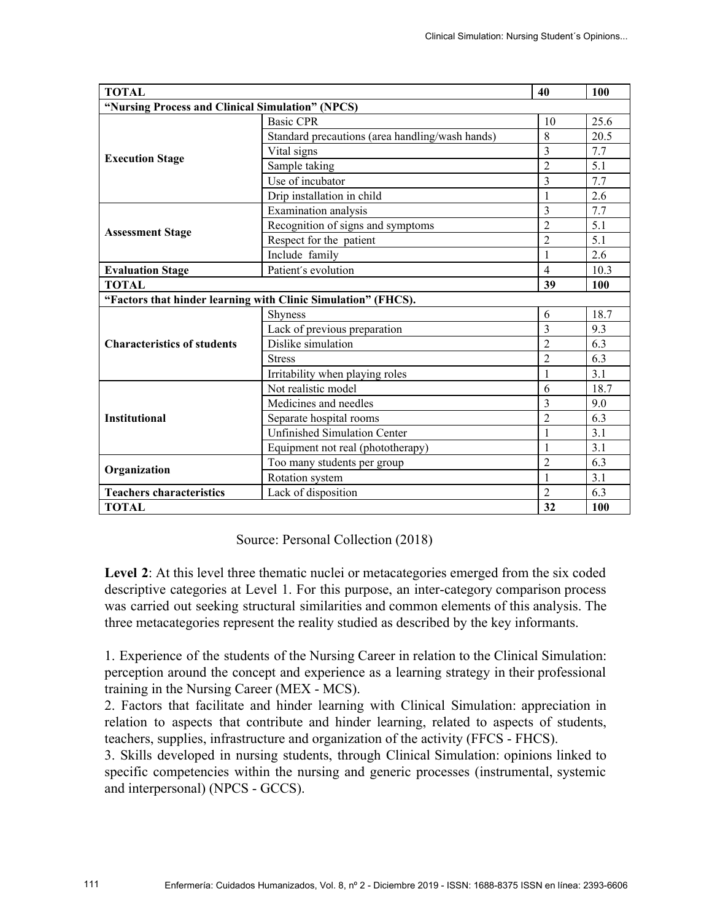| <b>TOTAL</b>                                     |                                                               |                | 100  |  |  |
|--------------------------------------------------|---------------------------------------------------------------|----------------|------|--|--|
| "Nursing Process and Clinical Simulation" (NPCS) |                                                               |                |      |  |  |
|                                                  | <b>Basic CPR</b>                                              | 10             | 25.6 |  |  |
|                                                  | Standard precautions (area handling/wash hands)               | 8              | 20.5 |  |  |
| <b>Execution Stage</b>                           | Vital signs                                                   | $\overline{3}$ | 7.7  |  |  |
|                                                  | Sample taking                                                 | $\overline{2}$ | 5.1  |  |  |
|                                                  | Use of incubator                                              | $\overline{3}$ | 7.7  |  |  |
|                                                  | Drip installation in child                                    | 1              | 2.6  |  |  |
|                                                  | <b>Examination</b> analysis                                   | 3              | 7.7  |  |  |
| <b>Assessment Stage</b>                          | Recognition of signs and symptoms                             | $\overline{2}$ | 5.1  |  |  |
|                                                  | Respect for the patient                                       | $\overline{2}$ | 5.1  |  |  |
|                                                  | Include family                                                |                | 2.6  |  |  |
| <b>Evaluation Stage</b>                          | Patient's evolution                                           | $\overline{4}$ | 10.3 |  |  |
| <b>TOTAL</b>                                     |                                                               | 39             | 100  |  |  |
|                                                  | "Factors that hinder learning with Clinic Simulation" (FHCS). |                |      |  |  |
|                                                  | <b>Shyness</b>                                                | 6              | 18.7 |  |  |
|                                                  | Lack of previous preparation                                  | $\overline{3}$ | 9.3  |  |  |
| <b>Characteristics of students</b>               | Dislike simulation                                            | $\overline{2}$ | 6.3  |  |  |
|                                                  | <b>Stress</b>                                                 | $\overline{2}$ | 6.3  |  |  |
|                                                  | Irritability when playing roles                               | 1              | 3.1  |  |  |
|                                                  | Not realistic model                                           | 6              | 18.7 |  |  |
|                                                  | Medicines and needles                                         | 3              | 9.0  |  |  |
| <b>Institutional</b>                             | Separate hospital rooms                                       | $\overline{2}$ | 6.3  |  |  |
|                                                  | <b>Unfinished Simulation Center</b>                           | 1              | 3.1  |  |  |
|                                                  | Equipment not real (phototherapy)                             | 1              | 3.1  |  |  |
| Organization                                     | Too many students per group                                   | $\overline{2}$ | 6.3  |  |  |
|                                                  | Rotation system                                               | 1              | 3.1  |  |  |
| <b>Teachers characteristics</b>                  | Lack of disposition                                           | $\overline{2}$ | 6.3  |  |  |
| <b>TOTAL</b>                                     |                                                               | 32             | 100  |  |  |

Source: Personal Collection (2018)

Level 2: At this level three thematic nuclei or metacategories emerged from the six coded descriptive categories at Level 1. For this purpose, an inter-category comparison process was carried out seeking structural similarities and common elements of this analysis. The three metacategories represent the reality studied as described by the key informants.

1. Experience of the students of the Nursing Career in relation to the Clinical Simulation: perception around the concept and experience as a learning strategy in their professional training in the Nursing Career (MEX - MCS).

2. Factors that facilitate and hinder learning with Clinical Simulation: appreciation in relation to aspects that contribute and hinder learning, related to aspects of students, teachers, supplies, infrastructure and organization of the activity (FFCS - FHCS).

3. Skills developed in nursing students, through Clinical Simulation: opinions linked to specific competencies within the nursing and generic processes (instrumental, systemic and interpersonal) (NPCS - GCCS).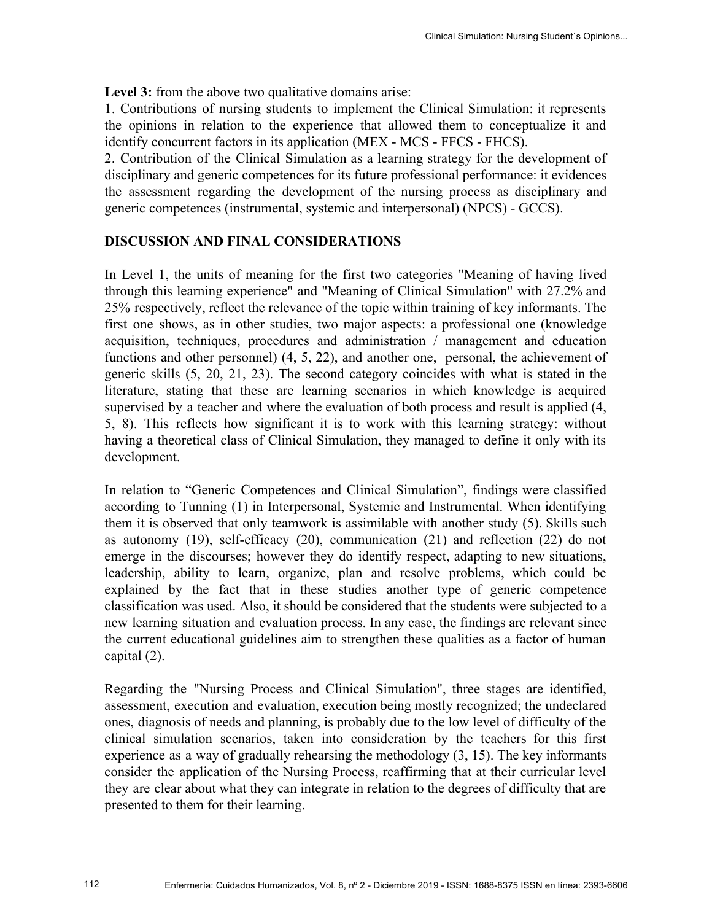Level 3: from the above two qualitative domains arise:

1. Contributions of nursing students to implement the Clinical Simulation: it represents the opinions in relation to the experience that allowed them to conceptualize it and identify concurrent factors in its application (MEX - MCS - FFCS - FHCS).

2. Contribution of the Clinical Simulation as a learning strategy for the development of disciplinary and generic competences for its future professional performance: it evidences the assessment regarding the development of the nursing process as disciplinary and generic competences (instrumental, systemic and interpersonal) (NPCS) - GCCS).

#### **DISCUSSION AND FINAL CONSIDERATIONS**

In Level 1, the units of meaning for the first two categories "Meaning of having lived through this learning experience" and "Meaning of Clinical Simulation" with 27.2% and 25% respectively, reflect the relevance of the topic within training of key informants. The first one shows, as in other studies, two major aspects: a professional one (knowledge acquisition, techniques, procedures and administration / management and education functions and other personnel) (4, 5, 22), and another one, personal, the achievement of generic skills (5, 20, 21, 23). The second category coincides with what is stated in the literature, stating that these are learning scenarios in which knowledge is acquired supervised by a teacher and where the evaluation of both process and result is applied (4, 5, 8). This reflects how significant it is to work with this learning strategy: without having a theoretical class of Clinical Simulation, they managed to define it only with its development.

In relation to "Generic Competences and Clinical Simulation", findings were classified according to Tunning (1) in Interpersonal, Systemic and Instrumental. When identifying them it is observed that only teamwork is assimilable with another study (5). Skills such as autonomy (19), self-efficacy (20), communication (21) and reflection (22) do not emerge in the discourses; however they do identify respect, adapting to new situations, leadership, ability to learn, organize, plan and resolve problems, which could be explained by the fact that in these studies another type of generic competence classification was used. Also, it should be considered that the students were subjected to a new learning situation and evaluation process. In any case, the findings are relevant since the current educational guidelines aim to strengthen these qualities as a factor of human capital (2).

Regarding the "Nursing Process and Clinical Simulation", three stages are identified, assessment, execution and evaluation, execution being mostly recognized; the undeclared ones, diagnosis of needs and planning, is probably due to the low level of difficulty of the clinical simulation scenarios, taken into consideration by the teachers for this first experience as a way of gradually rehearsing the methodology (3, 15). The key informants consider the application of the Nursing Process, reaffirming that at their curricular level they are clear about what they can integrate in relation to the degrees of difficulty that are presented to them for their learning.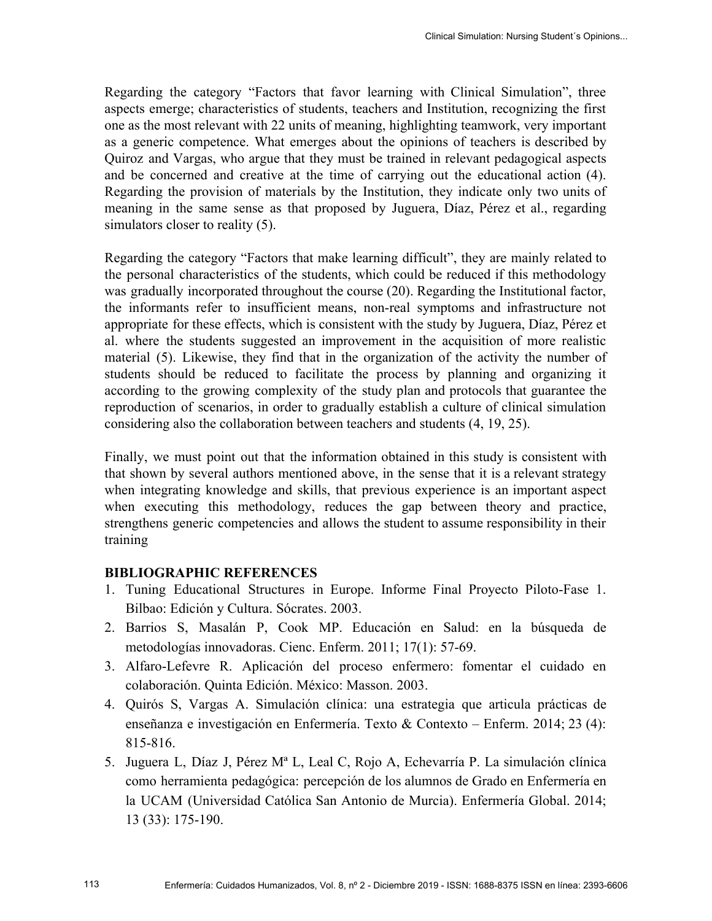Regarding the category "Factors that favor learning with Clinical Simulation", three aspects emerge; characteristics of students, teachers and Institution, recognizing the first one as the most relevant with 22 units of meaning, highlighting teamwork, very important as a generic competence. What emerges about the opinions of teachers is described by Quiroz and Vargas, who argue that they must be trained in relevant pedagogical aspects and be concerned and creative at the time of carrying out the educational action (4). Regarding the provision of materials by the Institution, they indicate only two units of meaning in the same sense as that proposed by Juguera, Díaz, Pérez et al., regarding simulators closer to reality (5).

Regarding the category "Factors that make learning difficult", they are mainly related to the personal characteristics of the students, which could be reduced if this methodology was gradually incorporated throughout the course (20). Regarding the Institutional factor, the informants refer to insufficient means, non-real symptoms and infrastructure not appropriate for these effects, which is consistent with the study by Juguera, Díaz, Pérez et al. where the students suggested an improvement in the acquisition of more realistic material (5). Likewise, they find that in the organization of the activity the number of students should be reduced to facilitate the process by planning and organizing it according to the growing complexity of the study plan and protocols that guarantee the reproduction of scenarios, in order to gradually establish a culture of clinical simulation considering also the collaboration between teachers and students (4, 19, 25).

Finally, we must point out that the information obtained in this study is consistent with that shown by several authors mentioned above, in the sense that it is a relevant strategy when integrating knowledge and skills, that previous experience is an important aspect when executing this methodology, reduces the gap between theory and practice, strengthens generic competencies and allows the student to assume responsibility in their training

#### **BIBLIOGRAPHIC REFERENCES**

- 1. Tuning Educational Structures in Europe. Informe Final Proyecto Piloto-Fase 1. Bilbao: Edición y Cultura. Sócrates. 2003.
- 2. Barrios S, Masalán P, Cook MP. Educación en Salud: en la búsqueda de metodologías innovadoras. Cienc. Enferm. 2011; 17(1): 57-69.
- 3. Alfaro-Lefevre R. Aplicación del proceso enfermero: fomentar el cuidado en colaboración. Quinta Edición. México: Masson. 2003.
- 4. Quirós S, Vargas A. Simulación clínica: una estrategia que articula prácticas de enseñanza e investigación en Enfermería. Texto & Contexto – Enferm. 2014; 23 (4): 815-816.
- 5. Juguera L, Díaz J, Pérez Mª L, Leal C, Rojo A, Echevarría P. La simulación clínica como herramienta pedagógica: percepción de los alumnos de Grado en Enfermería en la UCAM (Universidad Católica San Antonio de Murcia). Enfermería Global. 2014; 13 (33): 175-190.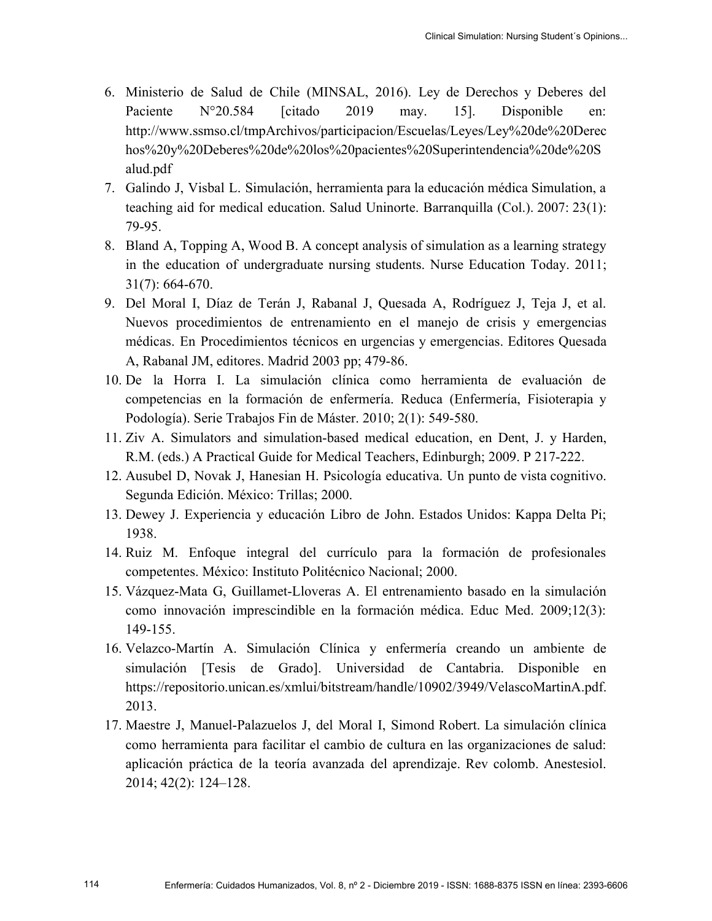- 6. Ministerio de Salud de Chile (MINSAL, 2016). Ley de Derechos y Deberes del Paciente N°20.584 [citado 2019 may. 15]. Disponible en: http://www.ssmso.cl/tmpArchivos/participacion/Escuelas/Leyes/Ley%20de%20Derec hos%20y%20Deberes%20de%20los%20pacientes%20Superintendencia%20de%20S alud.pdf
- 7. Galindo J, Visbal L. Simulación, herramienta para la educación médica Simulation, a teaching aid for medical education. Salud Uninorte. Barranquilla (Col.). 2007: 23(1): 79-95.
- 8. Bland A, Topping A, Wood B. A concept analysis of simulation as a learning strategy in the education of undergraduate nursing students. Nurse Education Today. 2011; 31(7): 664-670.
- 9. Del Moral I, Díaz de Terán J, Rabanal J, Quesada A, Rodríguez J, Teja J, et al. Nuevos procedimientos de entrenamiento en el manejo de crisis y emergencias médicas. En Procedimientos técnicos en urgencias y emergencias. Editores Quesada A, Rabanal JM, editores. Madrid 2003 pp; 479-86.
- 10. De la Horra I. La simulación clínica como herramienta de evaluación de competencias en la formación de enfermería. Reduca (Enfermería, Fisioterapia y Podología). Serie Trabajos Fin de Máster. 2010; 2(1): 549-580.
- 11. Ziv A. Simulators and simulation-based medical education, en Dent, J. y Harden, R.M. (eds.) A Practical Guide for Medical Teachers, Edinburgh; 2009. P 217-222.
- 12. Ausubel D, Novak J, Hanesian H. Psicología educativa. Un punto de vista cognitivo. Segunda Edición. México: Trillas; 2000.
- 13. Dewey J. Experiencia y educación Libro de John. Estados Unidos: Kappa Delta Pi; 1938.
- 14. Ruiz M. Enfoque integral del currículo para la formación de profesionales competentes. México: Instituto Politécnico Nacional; 2000.
- 15. Vázquez-Mata G, Guillamet-Lloveras A. El entrenamiento basado en la simulación como innovación imprescindible en la formación médica. Educ Med. 2009;12(3): 149-155.
- 16. Velazco-Martín A. Simulación Clínica y enfermería creando un ambiente de simulación [Tesis de Grado]. Universidad de Cantabria. Disponible en https://repositorio.unican.es/xmlui/bitstream/handle/10902/3949/VelascoMartinA.pdf. 2013.
- 17. Maestre J, Manuel-Palazuelos J, del Moral I, Simond Robert. La simulación clínica como herramienta para facilitar el cambio de cultura en las organizaciones de salud: aplicación práctica de la teoría avanzada del aprendizaje. Rev colomb. Anestesiol. 2014; 42(2): 124–128.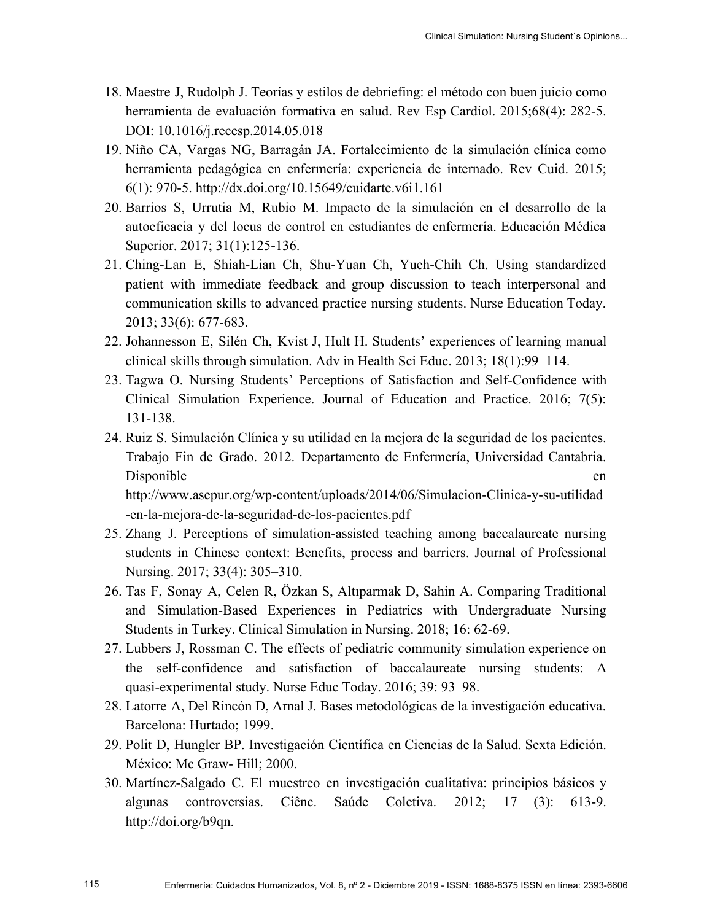- 18. Maestre J, Rudolph J. Teorías y estilos de debriefing: el método con buen juicio como herramienta de evaluación formativa en salud. Rev Esp Cardiol. 2015;68(4): 282-5. DOI: 10.1016/j.recesp.2014.05.018
- 19. Niño CA, Vargas NG, Barragán JA. Fortalecimiento de la simulación clínica como herramienta pedagógica en enfermería: experiencia de internado. Rev Cuid. 2015; 6(1): 970-5. http://dx.doi.org/10.15649/cuidarte.v6i1.161
- 20. Barrios S, Urrutia M, Rubio M. Impacto de la simulación en el desarrollo de la autoeficacia y del locus de control en estudiantes de enfermería. Educación Médica Superior. 2017; 31(1):125-136.
- 21. Ching-Lan E, Shiah-Lian Ch, Shu-Yuan Ch, Yueh-Chih Ch. Using standardized patient with immediate feedback and group discussion to teach interpersonal and communication skills to advanced practice nursing students. Nurse Education Today. 2013; 33(6): 677-683.
- 22. Johannesson E, Silén Ch, Kvist J, Hult H. Students' experiences of learning manual clinical skills through simulation. Adv in Health Sci Educ. 2013; 18(1):99–114.
- 23. Tagwa O. Nursing Students' Perceptions of Satisfaction and Self-Confidence with Clinical Simulation Experience. Journal of Education and Practice. 2016; 7(5): 131-138.
- 24. Ruiz S. Simulación Clínica y su utilidad en la mejora de la seguridad de los pacientes. Trabajo Fin de Grado. 2012. Departamento de Enfermería, Universidad Cantabria. Disponible en

http://www.asepur.org/wp-content/uploads/2014/06/Simulacion-Clinica-y-su-utilidad -en-la-mejora-de-la-seguridad-de-los-pacientes.pdf

- 25. Zhang J. Perceptions of simulation-assisted teaching among baccalaureate nursing students in Chinese context: Benefits, process and barriers. Journal of Professional Nursing. 2017; 33(4): 305–310.
- 26. Tas F, Sonay A, Celen R, Özkan S, Altıparmak D, Sahin A. Comparing Traditional and Simulation-Based Experiences in Pediatrics with Undergraduate Nursing Students in Turkey. Clinical Simulation in Nursing. 2018; 16: 62-69.
- 27. Lubbers J, Rossman C. The effects of pediatric community simulation experience on the self-confidence and satisfaction of baccalaureate nursing students: A quasi-experimental study. Nurse Educ Today. 2016; 39: 93–98.
- 28. Latorre A, Del Rincón D, Arnal J. Bases metodológicas de la investigación educativa. Barcelona: Hurtado; 1999.
- 29. Polit D, Hungler BP. Investigación Científica en Ciencias de la Salud. Sexta Edición. México: Mc Graw- Hill; 2000.
- 30. Martínez-Salgado C. El muestreo en investigación cualitativa: principios básicos y algunas controversias. Ciênc. Saúde Coletiva. 2012; 17 (3): 613-9. http://doi.org/b9qn.